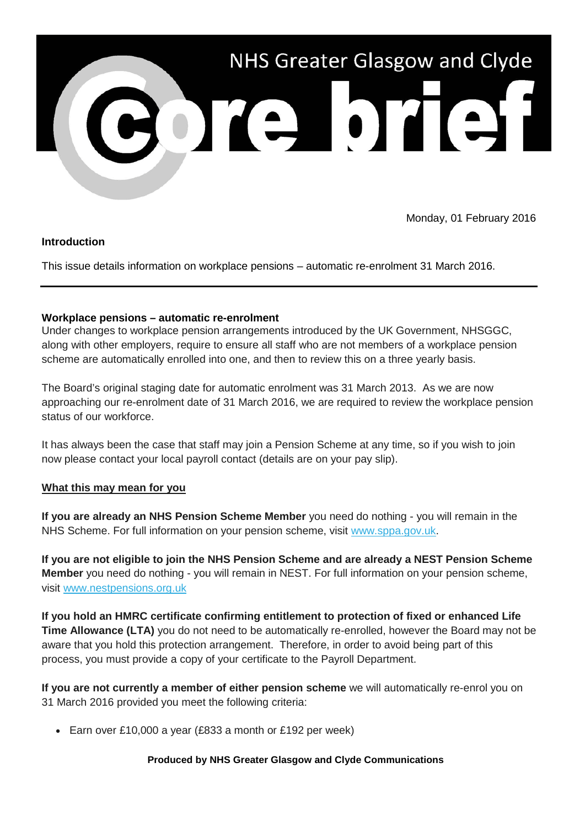

Monday, 01 February 2016

## **Introduction**

This issue details information on workplace pensions – automatic re-enrolment 31 March 2016.

# **Workplace pensions – automatic re-enrolment**

Under changes to workplace pension arrangements introduced by the UK Government, NHSGGC, along with other employers, require to ensure all staff who are not members of a workplace pension scheme are automatically enrolled into one, and then to review this on a three yearly basis.

The Board's original staging date for automatic enrolment was 31 March 2013. As we are now approaching our re-enrolment date of 31 March 2016, we are required to review the workplace pension status of our workforce.

It has always been the case that staff may join a Pension Scheme at any time, so if you wish to join now please contact your local payroll contact (details are on your pay slip).

## **What this may mean for you**

**If you are already an NHS Pension Scheme Member** you need do nothing - you will remain in the NHS Scheme. For full information on your pension scheme, visit [www.sppa.gov.uk.](http://www.sppa.gov.uk/)

**If you are not eligible to join the NHS Pension Scheme and are already a NEST Pension Scheme Member** you need do nothing - you will remain in NEST. For full information on your pension scheme, visit [www.nestpensions.org.uk](http://www.nestpensions.org.uk/)

**If you hold an HMRC certificate confirming entitlement to protection of fixed or enhanced Life Time Allowance (LTA)** you do not need to be automatically re-enrolled, however the Board may not be aware that you hold this protection arrangement. Therefore, in order to avoid being part of this process, you must provide a copy of your certificate to the Payroll Department.

**If you are not currently a member of either pension scheme** we will automatically re-enrol you on 31 March 2016 provided you meet the following criteria:

• Earn over £10,000 a year (£833 a month or £192 per week)

## **Produced by NHS Greater Glasgow and Clyde Communications**